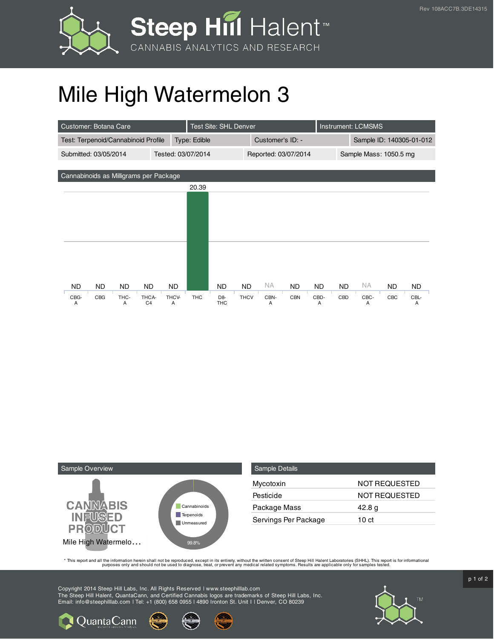



## Mile High Watermelon 3

| Customer: Botana Care                       |     |      |                |              | Test Site: SHL Denver |                |                      |      |            |                        | <b>Instrument: LCMSMS</b> |      |     |           |
|---------------------------------------------|-----|------|----------------|--------------|-----------------------|----------------|----------------------|------|------------|------------------------|---------------------------|------|-----|-----------|
| Test: Terpenoid/Cannabinoid Profile         |     |      |                | Type: Edible |                       |                | Customer's ID: -     |      |            |                        | Sample ID: 140305-01-012  |      |     |           |
| Submitted: 03/05/2014<br>Tested: 03/07/2014 |     |      |                |              |                       |                | Reported: 03/07/2014 |      |            | Sample Mass: 1050.5 mg |                           |      |     |           |
|                                             |     |      |                |              |                       |                |                      |      |            |                        |                           |      |     |           |
| Cannabinoids as Milligrams per Package      |     |      |                |              |                       |                |                      |      |            |                        |                           |      |     |           |
|                                             |     |      |                |              | 20.39                 |                |                      |      |            |                        |                           |      |     |           |
|                                             |     |      |                |              |                       |                |                      |      |            |                        |                           |      |     |           |
|                                             |     |      |                |              |                       |                |                      |      |            |                        |                           |      |     |           |
|                                             |     |      |                |              |                       |                |                      |      |            |                        |                           |      |     |           |
|                                             |     |      |                |              |                       |                |                      |      |            |                        |                           |      |     |           |
|                                             |     |      |                |              |                       |                |                      |      |            |                        |                           |      |     |           |
|                                             |     |      |                |              |                       |                |                      |      |            |                        |                           |      |     |           |
|                                             |     |      |                |              |                       |                |                      |      |            |                        |                           |      |     |           |
| <b>ND</b>                                   | ND. | ND.  | <b>ND</b>      | ND.          |                       | ND             | <b>ND</b>            | NA.  | <b>ND</b>  | <b>ND</b>              | <b>ND</b>                 | ΝA   | ND. | <b>ND</b> |
| CBG-                                        | CBG | THC- | THCA-          | THCV-        | <b>THC</b>            | D <sub>8</sub> | <b>THCV</b>          | CBN- | <b>CBN</b> | CBD-                   | CBD                       | CBC- | CBC | CBL-      |
| A                                           |     | A    | C <sub>4</sub> | A            |                       | <b>THC</b>     |                      | A    |            | A                      |                           | A    |     | A         |



**Q**uantaCann

| <b>Sample Details</b> |                      |  |  |  |  |  |
|-----------------------|----------------------|--|--|--|--|--|
| Mycotoxin             | NOT REQUESTED        |  |  |  |  |  |
| Pesticide             | <b>NOT REQUESTED</b> |  |  |  |  |  |
| Package Mass          | 42.8 g               |  |  |  |  |  |
| Servings Per Package  | 10 ct                |  |  |  |  |  |

This report and all the information herein shall not be reporduced, except in its entirety, without the written consent of Steep Hill Halent Laboratories (SHHL). This report is for informational all the instance, treat, or

Copyright 2014 Steep Hill Labs, Inc. All Rights Reserved | www.steephilllab.com The Steep Hill Halent, QuantaCann, and Certified Cannabis logos are trademarks of Steep Hill Labs, Inc. Email: info@steephilllab.com | Tel: +1 (800) 658 0955 | 4890 Ironton St. Unit I | Denver, CO 80239